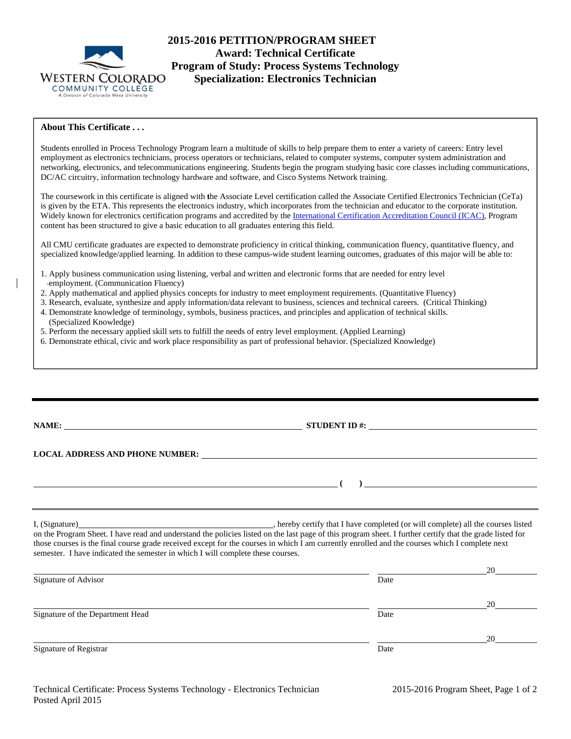

# **2015-2016 PETITION/PROGRAM SHEET Award: Technical Certificate Program of Study: Process Systems Technology Specialization: Electronics Technician**

## **About This Certificate . . .**

Students enrolled in Process Technology Program learn a multitude of skills to help prepare them to enter a variety of careers: Entry level employment as electronics technicians, process operators or technicians, related to computer systems, computer system administration and networking, electronics, and telecommunications engineering. Students begin the program studying basic core classes including communications, DC/AC circuitry, information technology hardware and software, and Cisco Systems Network training.

The coursework in this certificate is aligned with **t**he Associate Level certification called the Associate Certified Electronics Technician (CeTa) is given by the ETA. This represents the electronics industry, which incorporates from the technician and educator to the corporate institution. Widely known for electronics certification programs and accredited by the International Certification Accreditation Council (ICAC), Program content has been structured to give a basic education to all graduates entering this field.

All CMU certificate graduates are expected to demonstrate proficiency in critical thinking, communication fluency, quantitative fluency, and specialized knowledge/applied learning. In addition to these campus-wide student learning outcomes, graduates of this major will be able to:

- 1. Apply business communication using listening, verbal and written and electronic forms that are needed for entry level employment. (Communication Fluency)
- 2. Apply mathematical and applied physics concepts for industry to meet employment requirements. (Quantitative Fluency)
- 3. Research, evaluate, synthesize and apply information/data relevant to business, sciences and technical careers. (Critical Thinking)
- 4. Demonstrate knowledge of terminology, symbols, business practices, and principles and application of technical skills. (Specialized Knowledge)
- 5. Perform the necessary applied skill sets to fulfill the needs of entry level employment. (Applied Learning)
- 6. Demonstrate ethical, civic and work place responsibility as part of professional behavior. (Specialized Knowledge)

|                                                                                 | $STUDENT ID$ #:                                                                                                                                                                                                                                                                                            |  |
|---------------------------------------------------------------------------------|------------------------------------------------------------------------------------------------------------------------------------------------------------------------------------------------------------------------------------------------------------------------------------------------------------|--|
|                                                                                 |                                                                                                                                                                                                                                                                                                            |  |
|                                                                                 |                                                                                                                                                                                                                                                                                                            |  |
| semester. I have indicated the semester in which I will complete these courses. | on the Program Sheet. I have read and understand the policies listed on the last page of this program sheet. I further certify that the grade listed for<br>those courses is the final course grade received except for the courses in which I am currently enrolled and the courses which I complete next |  |
|                                                                                 | 20                                                                                                                                                                                                                                                                                                         |  |

| Signature of Advisor             | Date |    |
|----------------------------------|------|----|
|                                  |      | 20 |
| Signature of the Department Head | Date |    |
|                                  |      | 20 |
| Signature of Registrar           | Date |    |